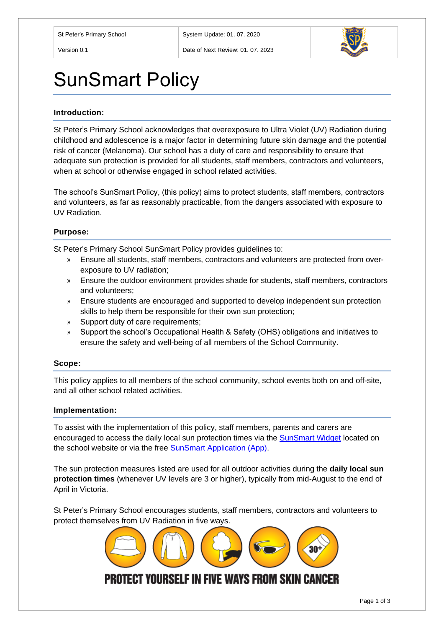

# SunSmart Policy

## **Introduction:**

St Peter's Primary School acknowledges that overexposure to Ultra Violet (UV) Radiation during childhood and adolescence is a major factor in determining future skin damage and the potential risk of cancer (Melanoma). Our school has a duty of care and responsibility to ensure that adequate sun protection is provided for all students, staff members, contractors and volunteers, when at school or otherwise engaged in school related activities.

The school's SunSmart Policy, (this policy) aims to protect students, staff members, contractors and volunteers, as far as reasonably practicable, from the dangers associated with exposure to UV Radiation.

# **Purpose:**

St Peter's Primary School SunSmart Policy provides guidelines to:

- » Ensure all students, staff members, contractors and volunteers are protected from overexposure to UV radiation;
- » Ensure the outdoor environment provides shade for students, staff members, contractors and volunteers;
- » Ensure students are encouraged and supported to develop independent sun protection skills to help them be responsible for their own sun protection;
- » Support duty of care requirements;
- » Support the school's Occupational Health & Safety (OHS) obligations and initiatives to ensure the safety and well-being of all members of the School Community.

#### **Scope:**

This policy applies to all members of the school community, school events both on and off-site, and all other school related activities.

#### **Implementation:**

To assist with the implementation of this policy, staff members, parents and carers are encouraged to access the daily local sun protection times via the [SunSmart Widget](http://www.sunsmart.com.au/uv-sun-protection/uv/uv-widget) located on the school website or via the free [SunSmart Application \(App\).](http://www.sunsmart.com.au/tools/interactive-tools/free-sunsmart-app)

The sun protection measures listed are used for all outdoor activities during the **daily local sun protection times** (whenever UV levels are 3 or higher), typically from mid-August to the end of April in Victoria.

St Peter's Primary School encourages students, staff members, contractors and volunteers to protect themselves from UV Radiation in five ways.

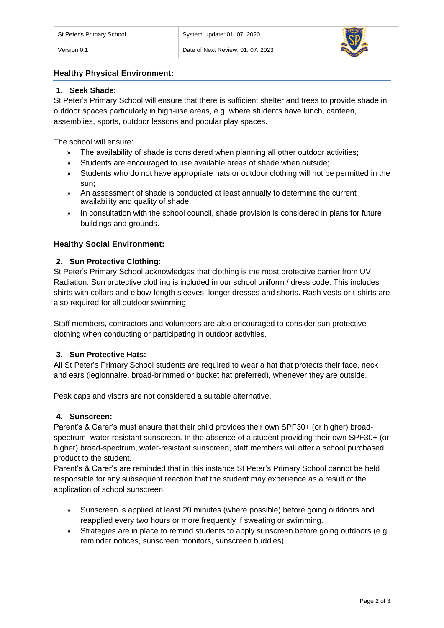# **Healthy Physical Environment:**

# **1. Seek Shade:**

St Peter's Primary School will ensure that there is sufficient shelter and trees to provide shade in outdoor spaces particularly in high-use areas, e.g. where students have lunch, canteen, assemblies, sports, outdoor lessons and popular play spaces.

The school will ensure:

- » The availability of shade is considered when planning all other outdoor activities;
- » Students are encouraged to use available areas of shade when outside;
- » Students who do not have appropriate hats or outdoor clothing will not be permitted in the sun;
- » An assessment of shade is conducted at least annually to determine the current availability and quality of shade;
- » In consultation with the school council, shade provision is considered in plans for future buildings and grounds.

## **Healthy Social Environment:**

## **2. Sun Protective Clothing:**

St Peter's Primary School acknowledges that clothing is the most protective barrier from UV Radiation. Sun protective clothing is included in our school uniform / dress code. This includes shirts with collars and elbow-length sleeves, longer dresses and shorts. Rash vests or t-shirts are also required for all outdoor swimming.

Staff members, contractors and volunteers are also encouraged to consider sun protective clothing when conducting or participating in outdoor activities.

# **3. Sun Protective Hats:**

All St Peter's Primary School students are required to wear a hat that protects their face, neck and ears (legionnaire, broad-brimmed or bucket hat preferred), whenever they are outside.

Peak caps and visors are not considered a suitable alternative.

#### **4. Sunscreen:**

Parent's & Carer's must ensure that their child provides their own SPF30+ (or higher) broadspectrum, water-resistant sunscreen. In the absence of a student providing their own SPF30+ (or higher) broad-spectrum, water-resistant sunscreen, staff members will offer a school purchased product to the student.

Parent's & Carer's are reminded that in this instance St Peter's Primary School cannot be held responsible for any subsequent reaction that the student may experience as a result of the application of school sunscreen.

- » Sunscreen is applied at least 20 minutes (where possible) before going outdoors and reapplied every two hours or more frequently if sweating or swimming.
- » Strategies are in place to remind students to apply sunscreen before going outdoors (e.g. reminder notices, sunscreen monitors, sunscreen buddies).